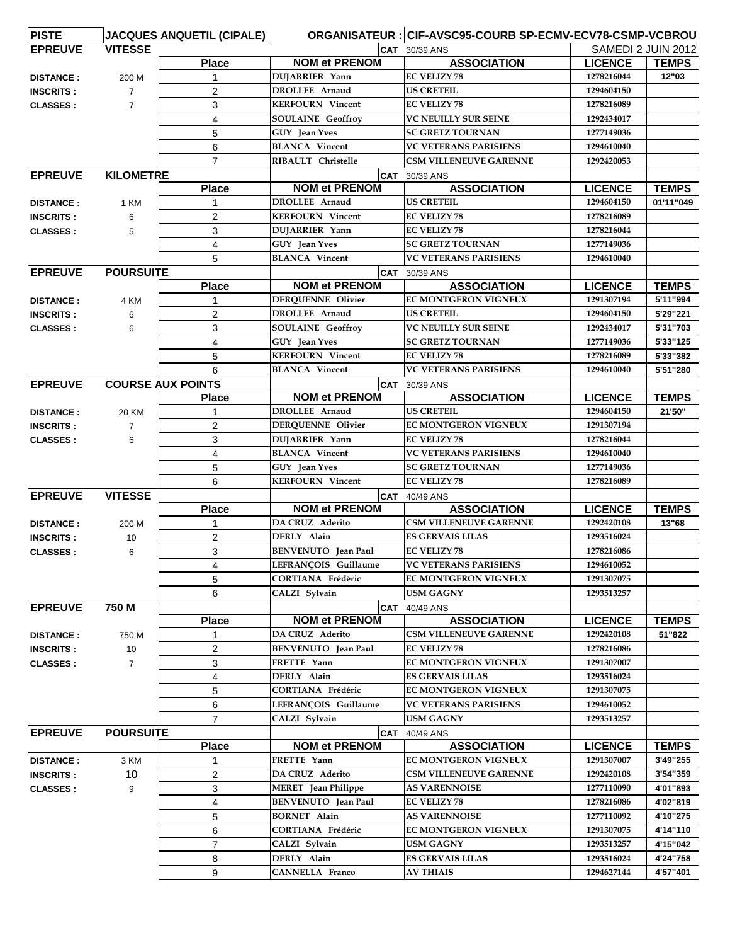| <b>PISTE</b>     |                  | <b>JACQUES ANQUETIL (CIPALE)</b> |                            | ORGANISATEUR : CIF-AVSC95-COURB SP-ECMV-ECV78-CSMP-VCBROU |                           |              |
|------------------|------------------|----------------------------------|----------------------------|-----------------------------------------------------------|---------------------------|--------------|
| <b>EPREUVE</b>   | <b>VITESSE</b>   |                                  |                            | $\overline{CAT}$ 30/39 ANS                                | <b>SAMEDI 2 JUIN 2012</b> |              |
|                  |                  | <b>Place</b>                     | <b>NOM et PRENOM</b>       | <b>ASSOCIATION</b>                                        | <b>LICENCE</b>            | <b>TEMPS</b> |
| <b>DISTANCE:</b> | 200 M            | $\mathbf{1}$                     | DUJARRIER Yann             | <b>EC VELIZY 78</b>                                       | 1278216044                | 12"03        |
| <b>INSCRITS:</b> | $\overline{7}$   | 2                                | <b>DROLLEE</b> Arnaud      | <b>US CRETEIL</b>                                         | 1294604150                |              |
| <b>CLASSES:</b>  | $\overline{7}$   | 3                                | <b>KERFOURN</b> Vincent    | <b>EC VELIZY 78</b>                                       | 1278216089                |              |
|                  |                  | 4                                | <b>SOULAINE Geoffroy</b>   | <b>VC NEUILLY SUR SEINE</b>                               | 1292434017                |              |
|                  |                  | 5                                | GUY Jean Yves              | <b>SC GRETZ TOURNAN</b>                                   | 1277149036                |              |
|                  |                  | 6                                | <b>BLANCA Vincent</b>      | <b>VC VETERANS PARISIENS</b>                              | 1294610040                |              |
|                  |                  | $\overline{7}$                   | <b>RIBAULT</b> Christelle  | <b>CSM VILLENEUVE GARENNE</b>                             | 1292420053                |              |
| <b>EPREUVE</b>   | <b>KILOMETRE</b> |                                  |                            | <b>CAT</b> 30/39 ANS                                      |                           |              |
|                  |                  | <b>Place</b>                     | <b>NOM et PRENOM</b>       | <b>ASSOCIATION</b>                                        | <b>LICENCE</b>            | <b>TEMPS</b> |
| <b>DISTANCE:</b> | 1 KM             |                                  | <b>DROLLEE</b> Arnaud      | <b>US CRETEIL</b>                                         | 1294604150                | 01'11"049    |
| <b>INSCRITS:</b> | 6                | $\overline{2}$                   | <b>KERFOURN</b> Vincent    | <b>EC VELIZY 78</b>                                       | 1278216089                |              |
| <b>CLASSES:</b>  | 5                | 3                                | DUJARRIER Yann             | <b>EC VELIZY 78</b>                                       | 1278216044                |              |
|                  |                  | 4                                | GUY Jean Yves              | <b>SC GRETZ TOURNAN</b>                                   | 1277149036                |              |
|                  |                  | 5                                | <b>BLANCA Vincent</b>      | <b>VC VETERANS PARISIENS</b>                              | 1294610040                |              |
| <b>EPREUVE</b>   | <b>POURSUITE</b> |                                  |                            | $\overline{CAT}$ 30/39 ANS                                |                           |              |
|                  |                  | <b>Place</b>                     | <b>NOM et PRENOM</b>       | <b>ASSOCIATION</b>                                        | <b>LICENCE</b>            | <b>TEMPS</b> |
| <b>DISTANCE:</b> | 4 KM             |                                  | <b>DERQUENNE Olivier</b>   | EC MONTGERON VIGNEUX                                      | 1291307194                | 5'11"994     |
| <b>INSCRITS:</b> | 6                | 2                                | <b>DROLLEE Arnaud</b>      | <b>US CRETEIL</b>                                         | 1294604150                | 5'29"221     |
| <b>CLASSES:</b>  | 6                | 3                                | <b>SOULAINE</b> Geoffroy   | VC NEUILLY SUR SEINE                                      | 1292434017                | 5'31"703     |
|                  |                  | 4                                | <b>GUY</b> Jean Yves       | <b>SC GRETZ TOURNAN</b>                                   | 1277149036                | 5'33"125     |
|                  |                  | 5                                | <b>KERFOURN</b> Vincent    | <b>EC VELIZY 78</b>                                       | 1278216089                | 5'33"382     |
|                  |                  |                                  | <b>BLANCA</b> Vincent      | <b>VC VETERANS PARISIENS</b>                              | 1294610040                | 5'51"280     |
| <b>EPREUVE</b>   |                  | 6                                |                            |                                                           |                           |              |
|                  |                  | <b>COURSE AUX POINTS</b>         | <b>NOM et PRENOM</b>       | CAT 30/39 ANS<br><b>ASSOCIATION</b>                       | <b>LICENCE</b>            | <b>TEMPS</b> |
|                  |                  | <b>Place</b>                     | <b>DROLLEE Arnaud</b>      | <b>US CRETEIL</b>                                         | 1294604150                | 21'50"       |
| <b>DISTANCE:</b> | 20 KM            |                                  |                            |                                                           |                           |              |
| <b>INSCRITS:</b> | $\overline{7}$   | $\overline{2}$                   | DERQUENNE Olivier          | EC MONTGERON VIGNEUX                                      | 1291307194                |              |
| <b>CLASSES:</b>  | 6                | 3                                | DUJARRIER Yann             | <b>EC VELIZY 78</b><br><b>VC VETERANS PARISIENS</b>       | 1278216044                |              |
|                  |                  | 4                                | <b>BLANCA Vincent</b>      |                                                           | 1294610040                |              |
|                  |                  | 5                                | GUY Jean Yves              | <b>SC GRETZ TOURNAN</b>                                   | 1277149036                |              |
|                  |                  | 6                                | <b>KERFOURN</b> Vincent    | <b>EC VELIZY 78</b>                                       | 1278216089                |              |
| <b>EPREUVE</b>   | <b>VITESSE</b>   |                                  |                            | <b>CAT</b> 40/49 ANS                                      |                           |              |
|                  |                  | <b>Place</b>                     | <b>NOM et PRENOM</b>       | <b>ASSOCIATION</b>                                        | <b>LICENCE</b>            | <b>TEMPS</b> |
| <b>DISTANCE:</b> | 200 M            | $\mathbf{1}$                     | <b>DA CRUZ Aderito</b>     | <b>CSM VILLENEUVE GARENNE</b>                             | 1292420108                | 13"68        |
| <b>INSCRITS:</b> | 10               | 2                                | DERLY Alain                | <b>ES GERVAIS LILAS</b>                                   | 1293516024                |              |
| <b>CLASSES:</b>  | 6                | 3                                | <b>BENVENUTO</b> Jean Paul | <b>EC VELIZY 78</b>                                       | 1278216086                |              |
|                  |                  | 4                                | LEFRANÇOIS Guillaume       | <b>VC VETERANS PARISIENS</b>                              | 1294610052                |              |
|                  |                  | 5                                | <b>CORTIANA Frédéric</b>   | EC MONTGERON VIGNEUX                                      | 1291307075                |              |
|                  |                  | 6                                | CALZI Sylvain              | <b>USM GAGNY</b>                                          | 1293513257                |              |
| <b>EPREUVE</b>   | 750 M            |                                  |                            | CAT 40/49 ANS                                             |                           |              |
|                  |                  | <b>Place</b>                     | <b>NOM et PRENOM</b>       | <b>ASSOCIATION</b>                                        | <b>LICENCE</b>            | <b>TEMPS</b> |
| <b>DISTANCE:</b> | 750 M            | 1                                | DA CRUZ Aderito            | <b>CSM VILLENEUVE GARENNE</b>                             | 1292420108                | 51"822       |
| <b>INSCRITS:</b> | 10               | $\overline{2}$                   | <b>BENVENUTO</b> Jean Paul | <b>EC VELIZY 78</b>                                       | 1278216086                |              |
| <b>CLASSES:</b>  | $\overline{7}$   | 3                                | FRETTE Yann                | EC MONTGERON VIGNEUX                                      | 1291307007                |              |
|                  |                  | 4                                | DERLY Alain                | <b>ES GERVAIS LILAS</b>                                   | 1293516024                |              |
|                  |                  | 5                                | <b>CORTIANA Frédéric</b>   | EC MONTGERON VIGNEUX                                      | 1291307075                |              |
|                  |                  | 6                                | LEFRANÇOIS Guillaume       | <b>VC VETERANS PARISIENS</b>                              | 1294610052                |              |
|                  |                  | $\overline{7}$                   | CALZI Sylvain              | USM GAGNY                                                 | 1293513257                |              |
| <b>EPREUVE</b>   | <b>POURSUITE</b> |                                  |                            | <b>CAT</b> 40/49 ANS                                      |                           |              |
|                  |                  | <b>Place</b>                     | <b>NOM et PRENOM</b>       | <b>ASSOCIATION</b>                                        | <b>LICENCE</b>            | <b>TEMPS</b> |
| <b>DISTANCE:</b> | 3 KM             | 1                                | FRETTE Yann                | EC MONTGERON VIGNEUX                                      | 1291307007                | 3'49"255     |
| <b>INSCRITS:</b> | 10               | $\overline{2}$                   | <b>DA CRUZ Aderito</b>     | <b>CSM VILLENEUVE GARENNE</b>                             | 1292420108                | 3'54"359     |
| <b>CLASSES:</b>  | 9                | 3                                | <b>MERET</b> Jean Philippe | <b>AS VARENNOISE</b>                                      | 1277110090                | 4'01"893     |
|                  |                  | 4                                | <b>BENVENUTO</b> Jean Paul | <b>EC VELIZY 78</b>                                       | 1278216086                | 4'02"819     |
|                  |                  | 5                                | <b>BORNET</b> Alain        | <b>AS VARENNOISE</b>                                      | 1277110092                | 4'10"275     |
|                  |                  | 6                                | CORTIANA Frédéric          | EC MONTGERON VIGNEUX                                      | 1291307075                | 4'14"110     |
|                  |                  | $\overline{7}$                   | CALZI Sylvain              | USM GAGNY                                                 | 1293513257                | 4'15"042     |
|                  |                  | 8                                | DERLY Alain                | <b>ES GERVAIS LILAS</b>                                   | 1293516024                | 4'24"758     |
|                  |                  | 9                                | <b>CANNELLA Franco</b>     | <b>AV THIAIS</b>                                          | 1294627144                | 4'57"401     |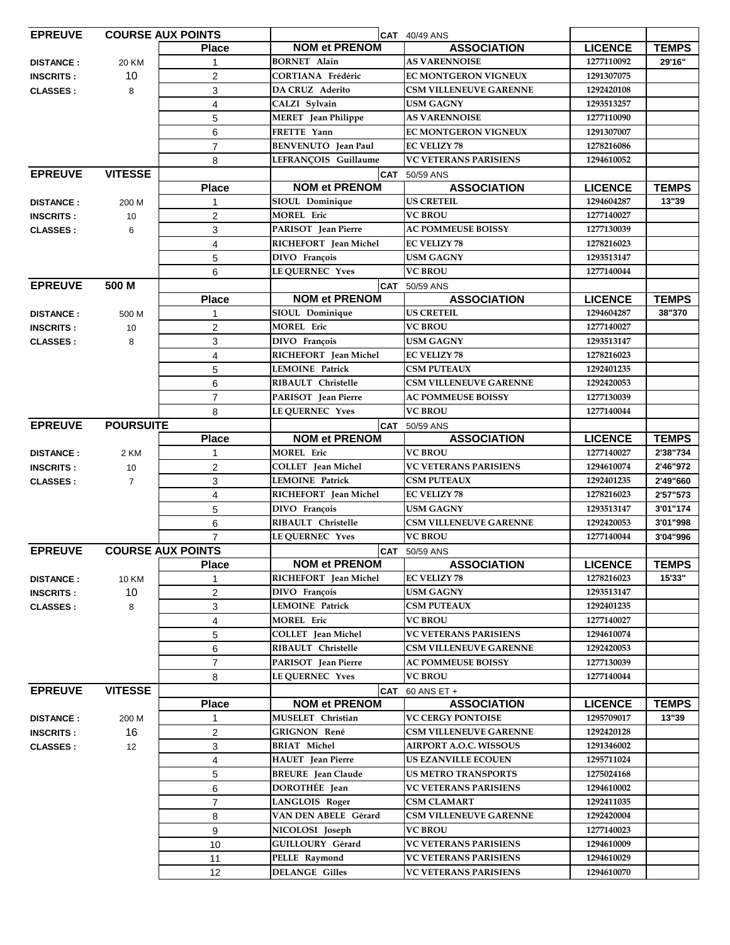| <b>EPREUVE</b>   |                  | <b>COURSE AUX POINTS</b> |                            | <b>CAT</b> 40/49 ANS          |                |              |
|------------------|------------------|--------------------------|----------------------------|-------------------------------|----------------|--------------|
|                  |                  | <b>Place</b>             | <b>NOM et PRENOM</b>       | <b>ASSOCIATION</b>            | <b>LICENCE</b> | <b>TEMPS</b> |
| <b>DISTANCE:</b> | 20 KM            | 1                        | <b>BORNET Alain</b>        | <b>AS VARENNOISE</b>          | 1277110092     | 29'16"       |
| <b>INSCRITS:</b> | 10               | $\overline{2}$           | <b>CORTIANA Frédéric</b>   | <b>EC MONTGERON VIGNEUX</b>   | 1291307075     |              |
| <b>CLASSES:</b>  | 8                | 3                        | <b>DA CRUZ</b> Aderito     | <b>CSM VILLENEUVE GARENNE</b> | 1292420108     |              |
|                  |                  | $\overline{\mathbf{4}}$  | CALZI Sylvain              | <b>USM GAGNY</b>              | 1293513257     |              |
|                  |                  | 5                        | MERET Jean Philippe        | <b>AS VARENNOISE</b>          | 1277110090     |              |
|                  |                  | 6                        | FRETTE Yann                | EC MONTGERON VIGNEUX          | 1291307007     |              |
|                  |                  | $\overline{7}$           | <b>BENVENUTO</b> Jean Paul | <b>EC VELIZY 78</b>           | 1278216086     |              |
|                  |                  | 8                        | LEFRANÇOIS Guillaume       | <b>VC VETERANS PARISIENS</b>  | 1294610052     |              |
| <b>EPREUVE</b>   | <b>VITESSE</b>   |                          |                            | CAT 50/59 ANS                 |                |              |
|                  |                  | <b>Place</b>             | <b>NOM et PRENOM</b>       | <b>ASSOCIATION</b>            | <b>LICENCE</b> | <b>TEMPS</b> |
| <b>DISTANCE:</b> | 200 M            | 1                        | SIOUL Dominique            | <b>US CRETEIL</b>             | 1294604287     | 13"39        |
| <b>INSCRITS:</b> | 10               | 2                        | <b>MOREL Eric</b>          | <b>VC BROU</b>                | 1277140027     |              |
| <b>CLASSES:</b>  | 6                | 3                        | PARISOT Jean Pierre        | <b>AC POMMEUSE BOISSY</b>     | 1277130039     |              |
|                  |                  | 4                        | RICHEFORT Jean Michel      | <b>EC VELIZY 78</b>           | 1278216023     |              |
|                  |                  | 5                        | DIVO François              | <b>USM GAGNY</b>              | 1293513147     |              |
|                  |                  | 6                        | <b>LE QUERNEC Yves</b>     | <b>VC BROU</b>                | 1277140044     |              |
| <b>EPREUVE</b>   | 500 M            |                          |                            | CAT 50/59 ANS                 |                |              |
|                  |                  | <b>Place</b>             | <b>NOM et PRENOM</b>       | <b>ASSOCIATION</b>            | <b>LICENCE</b> | <b>TEMPS</b> |
| <b>DISTANCE:</b> | 500 M            | $\mathbf{1}$             | SIOUL Dominique            | <b>US CRETEIL</b>             | 1294604287     | 38"370       |
| <b>INSCRITS:</b> | 10               | $\overline{c}$           | <b>MOREL Eric</b>          | <b>VC BROU</b>                | 1277140027     |              |
| <b>CLASSES:</b>  | 8                | 3                        | DIVO François              | <b>USM GAGNY</b>              | 1293513147     |              |
|                  |                  | 4                        | RICHEFORT Jean Michel      | <b>EC VELIZY 78</b>           | 1278216023     |              |
|                  |                  | 5                        | <b>LEMOINE Patrick</b>     | <b>CSM PUTEAUX</b>            | 1292401235     |              |
|                  |                  | $\,6$                    | RIBAULT Christelle         | <b>CSM VILLENEUVE GARENNE</b> | 1292420053     |              |
|                  |                  | $\overline{7}$           | PARISOT Jean Pierre        | <b>AC POMMEUSE BOISSY</b>     | 1277130039     |              |
|                  |                  | 8                        | <b>LE QUERNEC Yves</b>     | <b>VC BROU</b>                | 1277140044     |              |
| <b>EPREUVE</b>   | <b>POURSUITE</b> |                          |                            | <b>CAT</b> 50/59 ANS          |                |              |
|                  |                  | <b>Place</b>             | <b>NOM et PRENOM</b>       | <b>ASSOCIATION</b>            | <b>LICENCE</b> | <b>TEMPS</b> |
| <b>DISTANCE:</b> | 2 KM             | 1                        | <b>MOREL Eric</b>          | <b>VC BROU</b>                | 1277140027     | 2'38"734     |
| <b>INSCRITS:</b> | 10               | $\overline{2}$           | <b>COLLET</b> Jean Michel  | <b>VC VETERANS PARISIENS</b>  | 1294610074     | 2'46"972     |
| <b>CLASSES:</b>  | $\overline{7}$   | 3                        | <b>LEMOINE Patrick</b>     | <b>CSM PUTEAUX</b>            | 1292401235     | 2'49"660     |
|                  |                  | 4                        | RICHEFORT Jean Michel      | <b>EC VELIZY 78</b>           | 1278216023     | 2'57"573     |
|                  |                  | 5                        | DIVO François              | <b>USM GAGNY</b>              | 1293513147     | 3'01"174     |
|                  |                  | 6                        | RIBAULT Christelle         | <b>CSM VILLENEUVE GARENNE</b> | 1292420053     | 3'01"998     |
|                  |                  | $\overline{7}$           | <b>LE QUERNEC Yves</b>     | <b>VC BROU</b>                | 1277140044     | 3'04"996     |
| <b>EPREUVE</b>   |                  | <b>COURSE AUX POINTS</b> |                            | <b>CAT</b> 50/59 ANS          |                |              |
|                  |                  | <b>Place</b>             | <b>NOM et PRENOM</b>       | <b>ASSOCIATION</b>            | <b>LICENCE</b> | <b>TEMPS</b> |
| <b>DISTANCE:</b> | 10 KM            |                          | RICHEFORT Jean Michel      | <b>EC VELIZY 78</b>           | 1278216023     | 15'33"       |
| <b>INSCRITS:</b> | 10               | $\overline{c}$           | DIVO François              | <b>USM GAGNY</b>              | 1293513147     |              |
| <b>CLASSES:</b>  | 8                | 3                        | <b>LEMOINE Patrick</b>     | <b>CSM PUTEAUX</b>            | 1292401235     |              |
|                  |                  | 4                        | <b>MOREL Eric</b>          | <b>VC BROU</b>                | 1277140027     |              |
|                  |                  | 5                        | <b>COLLET</b> Jean Michel  | <b>VC VETERANS PARISIENS</b>  | 1294610074     |              |
|                  |                  | 6                        | RIBAULT Christelle         | <b>CSM VILLENEUVE GARENNE</b> | 1292420053     |              |
|                  |                  | $\overline{7}$           | PARISOT Jean Pierre        | <b>AC POMMEUSE BOISSY</b>     | 1277130039     |              |
|                  |                  | 8                        | LE QUERNEC Yves            | <b>VC BROU</b>                | 1277140044     |              |
| <b>EPREUVE</b>   | <b>VITESSE</b>   | CAT 60 ANS ET +          |                            |                               |                |              |
|                  |                  | <b>Place</b>             | <b>NOM et PRENOM</b>       | <b>ASSOCIATION</b>            | <b>LICENCE</b> | <b>TEMPS</b> |
| <b>DISTANCE:</b> | 200 M            | 1                        | MUSELET Christian          | <b>VC CERGY PONTOISE</b>      | 1295709017     | 13"39        |
| <b>INSCRITS:</b> | 16               | $\overline{c}$           | GRIGNON René               | <b>CSM VILLENEUVE GARENNE</b> | 1292420128     |              |
| <b>CLASSES:</b>  | 12               | 3                        | <b>BRIAT Michel</b>        | <b>AIRPORT A.O.C. WISSOUS</b> | 1291346002     |              |
|                  |                  | $\overline{4}$           | <b>HAUET</b> Jean Pierre   | <b>US EZANVILLE ECOUEN</b>    | 1295711024     |              |
|                  |                  | $\sqrt{5}$               | <b>BREURE</b> Jean Claude  | <b>US METRO TRANSPORTS</b>    | 1275024168     |              |
|                  |                  | 6                        | DOROTHÉE Jean              | <b>VC VETERANS PARISIENS</b>  | 1294610002     |              |
|                  |                  | $\overline{7}$           | <b>LANGLOIS Roger</b>      | <b>CSM CLAMART</b>            | 1292411035     |              |
|                  |                  | 8                        | VAN DEN ABELE Gérard       | <b>CSM VILLENEUVE GARENNE</b> | 1292420004     |              |
|                  |                  | 9                        | NICOLOSI Joseph            | <b>VC BROU</b>                | 1277140023     |              |
|                  |                  | 10                       | GUILLOURY Gérard           | <b>VC VETERANS PARISIENS</b>  | 1294610009     |              |
|                  |                  | 11                       | PELLE Raymond              | <b>VC VETERANS PARISIENS</b>  | 1294610029     |              |
|                  |                  | 12                       | <b>DELANGE Gilles</b>      | <b>VC VETERANS PARISIENS</b>  | 1294610070     |              |